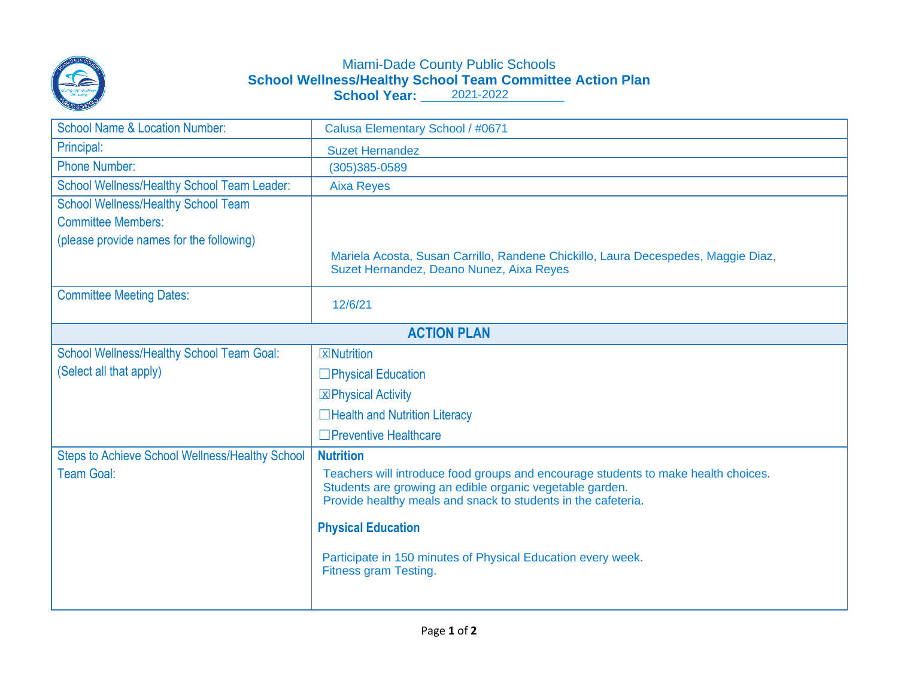

## Miami-Dade County Public Schools **School Wellness/Healthy School Team Committee Action Plan School Year: \_\_\_\_\_\_\_\_\_\_\_\_\_\_\_\_\_\_\_** 2021-2022

| <b>School Name &amp; Location Number:</b>              | Calusa Elementary School / #0671                                                                                                                                                                                |
|--------------------------------------------------------|-----------------------------------------------------------------------------------------------------------------------------------------------------------------------------------------------------------------|
| Principal:                                             | <b>Suzet Hernandez</b>                                                                                                                                                                                          |
| <b>Phone Number:</b>                                   | (305)385-0589                                                                                                                                                                                                   |
| School Wellness/Healthy School Team Leader:            | <b>Aixa Reyes</b>                                                                                                                                                                                               |
| <b>School Wellness/Healthy School Team</b>             |                                                                                                                                                                                                                 |
| <b>Committee Members:</b>                              |                                                                                                                                                                                                                 |
| (please provide names for the following)               |                                                                                                                                                                                                                 |
|                                                        | Mariela Acosta, Susan Carrillo, Randene Chickillo, Laura Decespedes, Maggie Diaz,<br>Suzet Hernandez, Deano Nunez, Aixa Reyes                                                                                   |
| <b>Committee Meeting Dates:</b>                        | 12/6/21                                                                                                                                                                                                         |
| <b>ACTION PLAN</b>                                     |                                                                                                                                                                                                                 |
| <b>School Wellness/Healthy School Team Goal:</b>       | <b>X</b> Nutrition                                                                                                                                                                                              |
| (Select all that apply)                                | $\Box$ Physical Education                                                                                                                                                                                       |
|                                                        | <b>X</b> Physical Activity                                                                                                                                                                                      |
|                                                        | $\Box$ Health and Nutrition Literacy                                                                                                                                                                            |
|                                                        | $\Box$ Preventive Healthcare                                                                                                                                                                                    |
| <b>Steps to Achieve School Wellness/Healthy School</b> | <b>Nutrition</b>                                                                                                                                                                                                |
| <b>Team Goal:</b>                                      | Teachers will introduce food groups and encourage students to make health choices.<br>Students are growing an edible organic vegetable garden.<br>Provide healthy meals and snack to students in the cafeteria. |
|                                                        | <b>Physical Education</b>                                                                                                                                                                                       |
|                                                        | Participate in 150 minutes of Physical Education every week.<br><b>Fitness gram Testing.</b>                                                                                                                    |